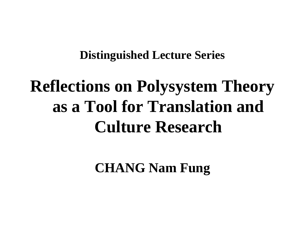#### **Distinguished Lecture Series**

#### **Reflections on Polysystem Theory as a Tool for Translation and Culture Research**

**CHANG Nam Fung**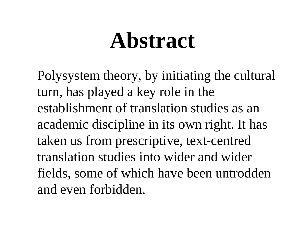# **Abstract**

Polysystem theory, by initiating the cultural turn, has played a key role in the establishment of translation studies as an academic discipline in its own right. It has taken us from prescriptive, text-centred translation studies into wider and wider fields, some of which have been untrodden and even forbidden.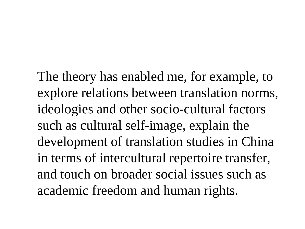The theory has enabled me, for example, to explore relations between translation norms, ideologies and other socio-cultural factors such as cultural self-image, explain the development of translation studies in China in terms of intercultural repertoire transfer, and touch on broader social issues such as academic freedom and human rights.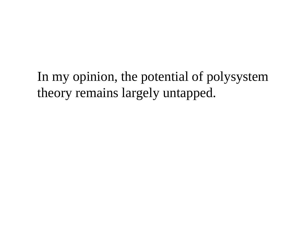In my opinion, the potential of polysystem theory remains largely untapped.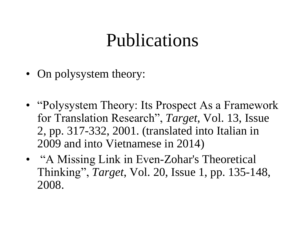#### Publications

- On polysystem theory:
- "Polysystem Theory: Its Prospect As a Framework" for Translation Research", *Target*, Vol. 13, Issue 2, pp. 317-332, 2001. (translated into Italian in 2009 and into Vietnamese in 2014)
- "A Missing Link in Even-Zohar's Theoretical Thinking", *Target*, Vol. 20, Issue 1, pp. 135-148, 2008.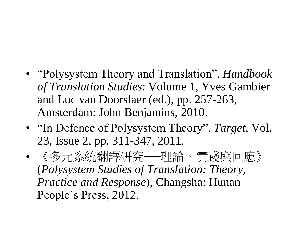- "Polysystem Theory and Translation", *Handbook of Translation Studies*: Volume 1, Yves Gambier and Luc van Doorslaer (ed.), pp. 257-263, Amsterdam: John Benjamins, 2010.
- "In Defence of Polysystem Theory", *Target*, Vol. 23, Issue 2, pp. 311-347, 2011.
- 《多元系統翻譯研究──理論、實踐與回應》 (*Polysystem Studies of Translation: Theory, Practice and Response*), Changsha: Hunan People's Press, 2012.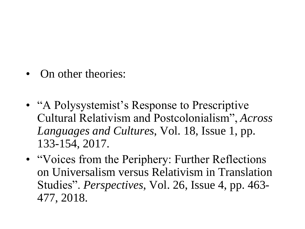- On other theories:
- "A Polysystemist's Response to Prescriptive Cultural Relativism and Postcolonialism", *Across Languages and Cultures*, Vol. 18, Issue 1, pp. 133-154, 2017.
- "Voices from the Periphery: Further Reflections on Universalism versus Relativism in Translation Studies". *Perspectives*, Vol. 26, Issue 4, pp. 463- 477, 2018.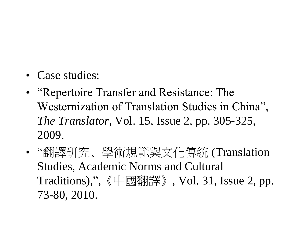- Case studies:
- "Repertoire Transfer and Resistance: The Westernization of Translation Studies in China", *The Translator*, Vol. 15, Issue 2, pp. 305-325, 2009.
- "翻譯研究﹑學術規範與文化傳統 (Translation Studies, Academic Norms and Cultural Traditions)," ,《中國翻譯》, Vol. 31, Issue 2, pp. 73-80, 2010.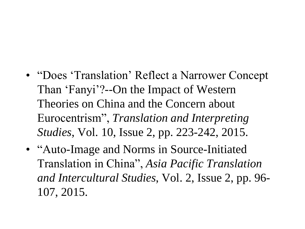- "Does 'Translation' Reflect a Narrower Concept" Than 'Fanyi'?--On the Impact of Western Theories on China and the Concern about Eurocentrism", *Translation and Interpreting Studies*, Vol. 10, Issue 2, pp. 223-242, 2015.
- "Auto-Image and Norms in Source-Initiated Translation in China", *Asia Pacific Translation and Intercultural Studies*, Vol. 2, Issue 2, pp. 96- 107, 2015.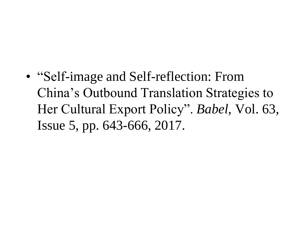• "Self-image and Self-reflection: From China's Outbound Translation Strategies to Her Cultural Export Policy". *Babel*, Vol. 63, Issue 5, pp. 643-666, 2017.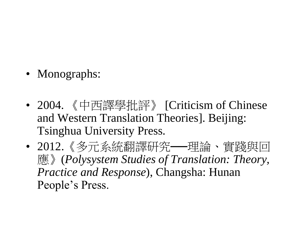- Monographs:
- 2004. 《中西譯學批評》 [Criticism of Chinese and Western Translation Theories]. Beijing: Tsinghua University Press.
- 2012.《多元系統翻譯研究──理論、實踐與回 應》(*Polysystem Studies of Translation: Theory, Practice and Response*), Changsha: Hunan People's Press.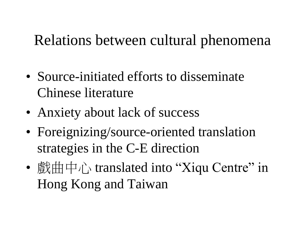#### Relations between cultural phenomena

- Source-initiated efforts to disseminate Chinese literature
- Anxiety about lack of success
- Foreignizing/source-oriented translation strategies in the C-E direction
- $\frac{d}{dx}$   $\frac{d}{dx}$   $\frac{d}{dx}$  translated into "Xiqu Centre" in Hong Kong and Taiwan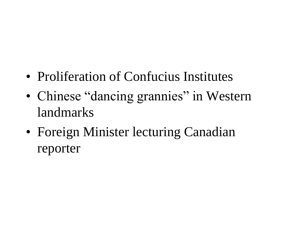- Proliferation of Confucius Institutes
- Chinese "dancing grannies" in Western landmarks
- Foreign Minister lecturing Canadian reporter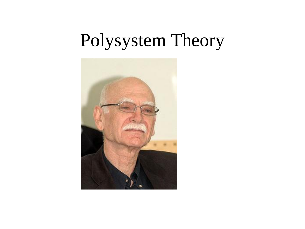#### Polysystem Theory

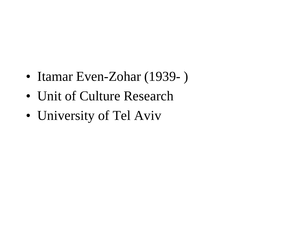- Itamar Even-Zohar (1939- )
- Unit of Culture Research
- University of Tel Aviv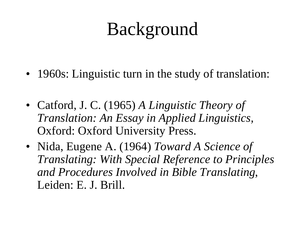#### Background

- 1960s: Linguistic turn in the study of translation:
- Catford, J. C. (1965) *A Linguistic Theory of Translation: An Essay in Applied Linguistics,*  Oxford: Oxford University Press.
- Nida, Eugene A. (1964) *Toward A Science of Translating: With Special Reference to Principles and Procedures Involved in Bible Translating*, Leiden: E. J. Brill.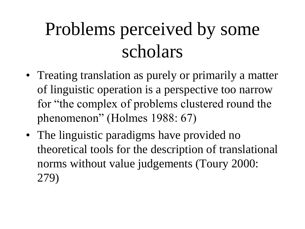## Problems perceived by some scholars

- Treating translation as purely or primarily a matter of linguistic operation is a perspective too narrow for "the complex of problems clustered round the phenomenon" (Holmes 1988: 67)
- The linguistic paradigms have provided no theoretical tools for the description of translational norms without value judgements (Toury 2000: 279)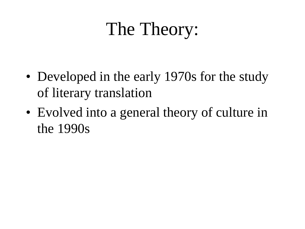#### The Theory:

- Developed in the early 1970s for the study of literary translation
- Evolved into a general theory of culture in the 1990s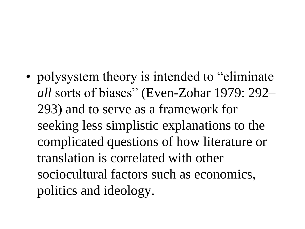• polysystem theory is intended to "eliminate" *all* sorts of biases" (Even-Zohar 1979: 292– 293) and to serve as a framework for seeking less simplistic explanations to the complicated questions of how literature or translation is correlated with other sociocultural factors such as economics, politics and ideology.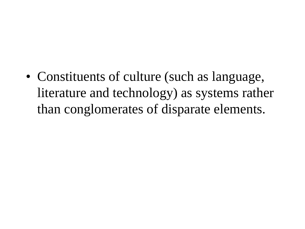• Constituents of culture (such as language, literature and technology) as systems rather than conglomerates of disparate elements.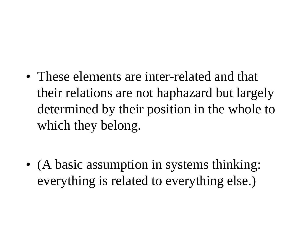• These elements are inter-related and that their relations are not haphazard but largely determined by their position in the whole to which they belong.

• (A basic assumption in systems thinking: everything is related to everything else.)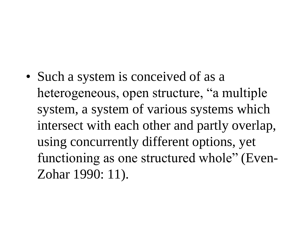• Such a system is conceived of as a heterogeneous, open structure, "a multiple system, a system of various systems which intersect with each other and partly overlap, using concurrently different options, yet functioning as one structured whole" (Even-Zohar 1990: 11).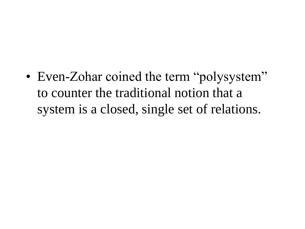• Even-Zohar coined the term "polysystem" to counter the traditional notion that a system is a closed, single set of relations.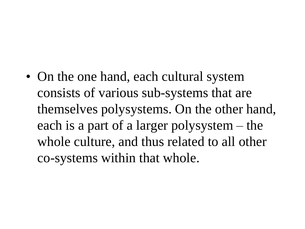• On the one hand, each cultural system consists of various sub-systems that are themselves polysystems. On the other hand, each is a part of a larger polysystem – the whole culture, and thus related to all other co-systems within that whole.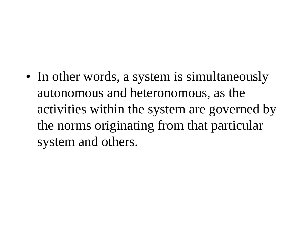• In other words, a system is simultaneously autonomous and heteronomous, as the activities within the system are governed by the norms originating from that particular system and others.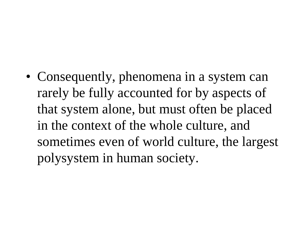• Consequently, phenomena in a system can rarely be fully accounted for by aspects of that system alone, but must often be placed in the context of the whole culture, and sometimes even of world culture, the largest polysystem in human society.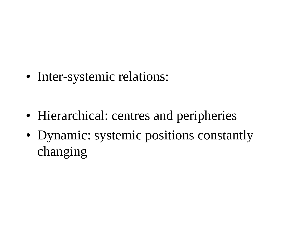• Inter-systemic relations:

- Hierarchical: centres and peripheries
- Dynamic: systemic positions constantly changing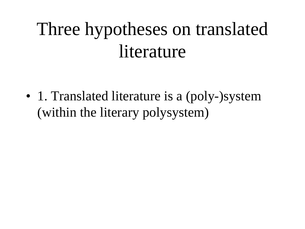## Three hypotheses on translated **literature**

• 1. Translated literature is a (poly-)system (within the literary polysystem)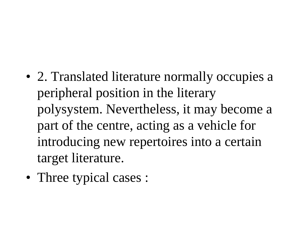- 2. Translated literature normally occupies a peripheral position in the literary polysystem. Nevertheless, it may become a part of the centre, acting as a vehicle for introducing new repertoires into a certain target literature.
- Three typical cases :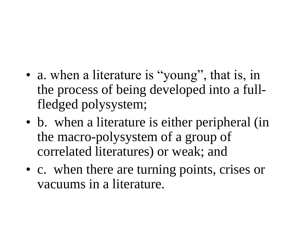- a. when a literature is "young", that is, in the process of being developed into a fullfledged polysystem;
- b. when a literature is either peripheral (in the macro-polysystem of a group of correlated literatures) or weak; and
- c. when there are turning points, crises or vacuums in a literature.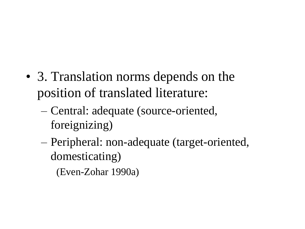- 3. Translation norms depends on the position of translated literature:
	- Central: adequate (source-oriented, foreignizing)
	- Peripheral: non-adequate (target-oriented, domesticating)

(Even-Zohar 1990a)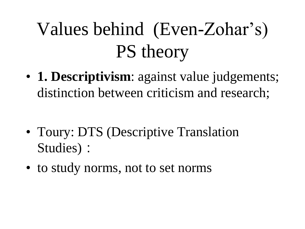# Values behind (Even-Zohar's) PS theory

• **1. Descriptivism**: against value judgements; distinction between criticism and research;

- Toury: DTS (Descriptive Translation Studies):
- to study norms, not to set norms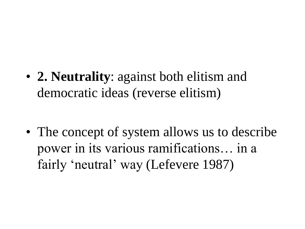• **2. Neutrality**: against both elitism and democratic ideas (reverse elitism)

• The concept of system allows us to describe power in its various ramifications… in a fairly 'neutral' way (Lefevere 1987)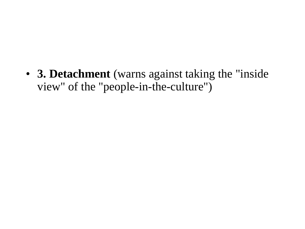• **3. Detachment** (warns against taking the "inside view" of the "people-in-the-culture")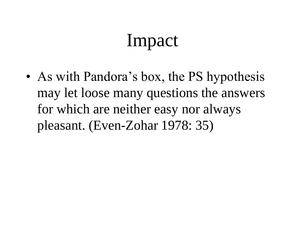#### Impact

• As with Pandora's box, the PS hypothesis may let loose many questions the answers for which are neither easy nor always pleasant. (Even-Zohar 1978: 35)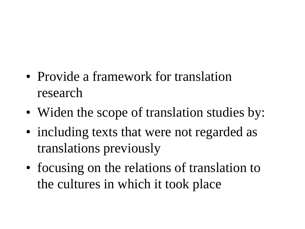- Provide a framework for translation research
- Widen the scope of translation studies by:
- including texts that were not regarded as translations previously
- focusing on the relations of translation to the cultures in which it took place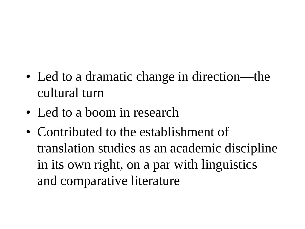- Led to a dramatic change in direction—the cultural turn
- Led to a boom in research
- Contributed to the establishment of translation studies as an academic discipline in its own right, on a par with linguistics and comparative literature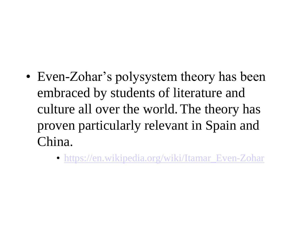- Even-Zohar's polysystem theory has been embraced by students of literature and culture all over the world.The theory has proven particularly relevant in Spain and China.
	- [https://en.wikipedia.org/wiki/Itamar\\_Even-Zohar](https://en.wikipedia.org/wiki/Itamar_Even-Zohar)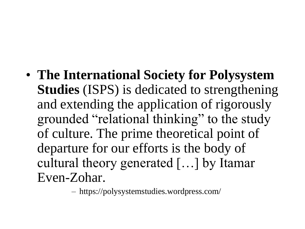• **The International Society for Polysystem Studies** (ISPS) is dedicated to strengthening and extending the application of rigorously grounded "relational thinking" to the study of culture. The prime theoretical point of departure for our efforts is the body of cultural theory generated […] by Itamar Even-Zohar.

– https://polysystemstudies.wordpress.com/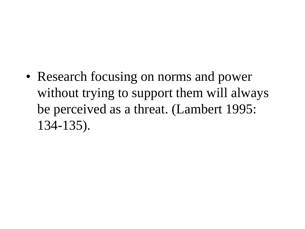• Research focusing on norms and power without trying to support them will always be perceived as a threat. (Lambert 1995: 134-135).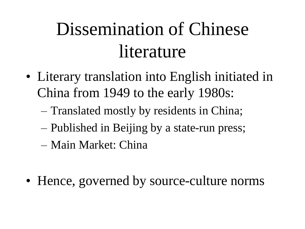## Dissemination of Chinese literature

- Literary translation into English initiated in China from 1949 to the early 1980s:
	- Translated mostly by residents in China;
	- Published in Beijing by a state-run press;
	- Main Market: China
- Hence, governed by source-culture norms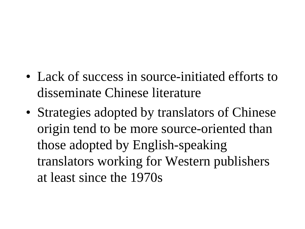- Lack of success in source-initiated efforts to disseminate Chinese literature
- Strategies adopted by translators of Chinese origin tend to be more source-oriented than those adopted by English-speaking translators working for Western publishers at least since the 1970s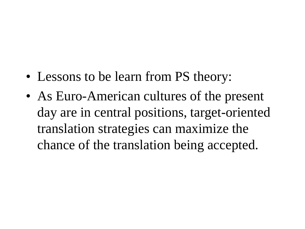- Lessons to be learn from PS theory:
- As Euro-American cultures of the present day are in central positions, target-oriented translation strategies can maximize the chance of the translation being accepted.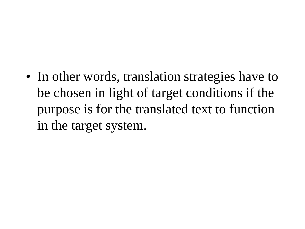• In other words, translation strategies have to be chosen in light of target conditions if the purpose is for the translated text to function in the target system.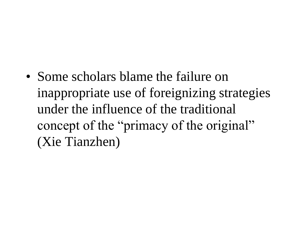• Some scholars blame the failure on inappropriate use of foreignizing strategies under the influence of the traditional concept of the "primacy of the original" (Xie Tianzhen)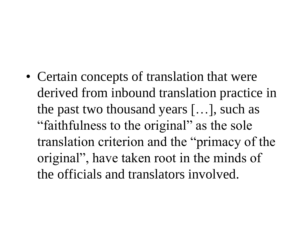• Certain concepts of translation that were derived from inbound translation practice in the past two thousand years […], such as "faithfulness to the original" as the sole translation criterion and the "primacy of the original", have taken root in the minds of the officials and translators involved.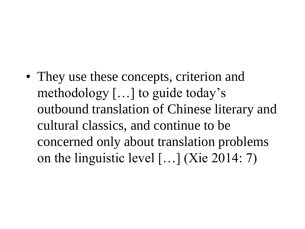• They use these concepts, criterion and methodology […] to guide today's outbound translation of Chinese literary and cultural classics, and continue to be concerned only about translation problems on the linguistic level […] (Xie 2014: 7)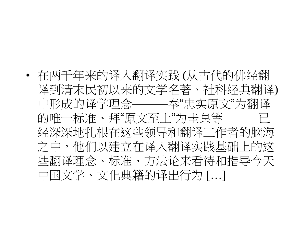• 在两千年来的译入翻译实践 (从古代的佛经翻 译到清末民初以来的文学名著、社科经典翻译) 中形成的译学理念———奉"忠实原文"为翻译 的唯一标准、拜"原文至上"为圭臬等———已 经深深地扎根在这些领导和翻译工作者的脑海 之中,他们以建立在译入翻译实践基础上的这 些翻译理念、标准、方法论来看待和指导今天 中国文学、文化典籍的译出行为 […]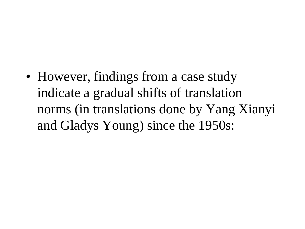• However, findings from a case study indicate a gradual shifts of translation norms (in translations done by Yang Xianyi and Gladys Young) since the 1950s: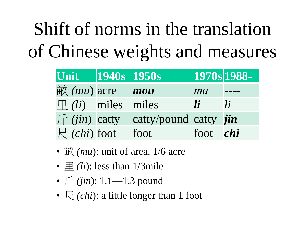## Shift of norms in the translation of Chinese weights and measures

| Unit 1940s 1950s                                 |                                                        | $\sqrt{270s}$ 1988- |    |
|--------------------------------------------------|--------------------------------------------------------|---------------------|----|
| $\dot{\mathbb{H}}$ ( <i>mu</i> ) acre <b>mou</b> |                                                        | mu                  |    |
| $\mathbb{H}(li)$ miles miles                     |                                                        | $\blacksquare$      | li |
|                                                  | $\int \int f(i\pi)$ catty catty/pound catty <i>jin</i> |                     |    |
| $\bigcap$ (chi) foot foot                        |                                                        | foot <i>chi</i>     |    |

- $\dot{\mathbb{H}}$  *(mu)*: unit of area, 1/6 acre
- $\equiv$  *(li)*: less than 1/3mile
- 斤 *(jin*): 1.1—1.3 pound
- $\in$  *(chi)*: a little longer than 1 foot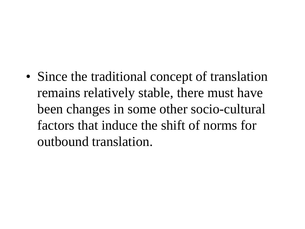• Since the traditional concept of translation remains relatively stable, there must have been changes in some other socio-cultural factors that induce the shift of norms for outbound translation.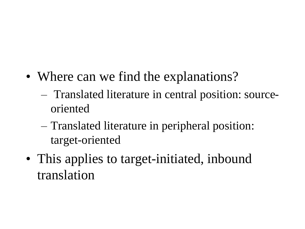- Where can we find the explanations?
	- Translated literature in central position: sourceoriented
	- Translated literature in peripheral position: target-oriented
- This applies to target-initiated, inbound translation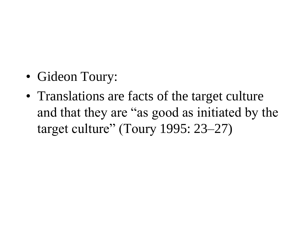- Gideon Toury:
- Translations are facts of the target culture and that they are "as good as initiated by the target culture" (Toury 1995: 23–27)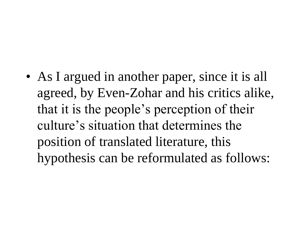• As I argued in another paper, since it is all agreed, by Even-Zohar and his critics alike, that it is the people's perception of their culture's situation that determines the position of translated literature, this hypothesis can be reformulated as follows: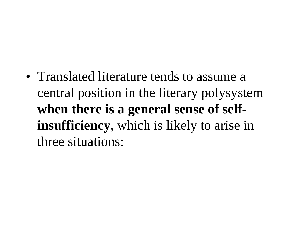• Translated literature tends to assume a central position in the literary polysystem **when there is a general sense of selfinsufficiency**, which is likely to arise in three situations: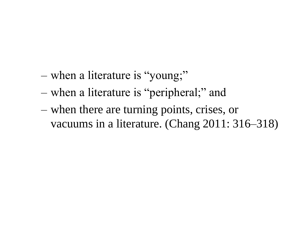- when a literature is "young;"
- when a literature is "peripheral;" and
- when there are turning points, crises, or vacuums in a literature. (Chang 2011: 316–318)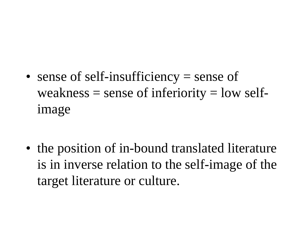• sense of self-insufficiency = sense of weakness  $=$  sense of inferiority  $=$  low selfimage

• the position of in-bound translated literature is in inverse relation to the self-image of the target literature or culture.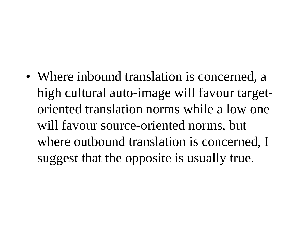• Where inbound translation is concerned, a high cultural auto-image will favour targetoriented translation norms while a low one will favour source-oriented norms, but where outbound translation is concerned, I suggest that the opposite is usually true.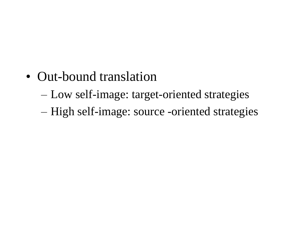- Out-bound translation
	- Low self-image: target-oriented strategies
	- High self-image: source -oriented strategies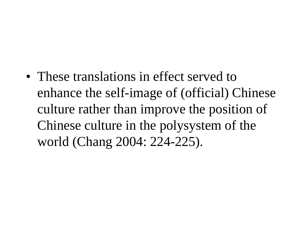• These translations in effect served to enhance the self-image of (official) Chinese culture rather than improve the position of Chinese culture in the polysystem of the world (Chang 2004: 224-225).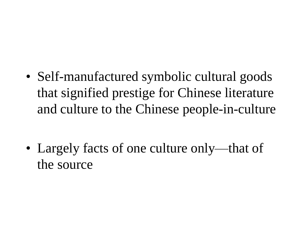• Self-manufactured symbolic cultural goods that signified prestige for Chinese literature and culture to the Chinese people-in-culture

• Largely facts of one culture only—that of the source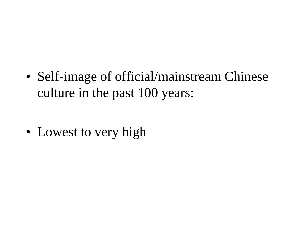• Self-image of official/mainstream Chinese culture in the past 100 years:

• Lowest to very high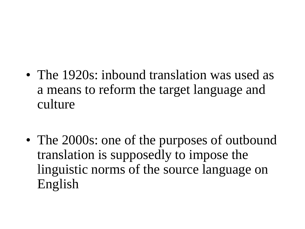- The 1920s: inbound translation was used as a means to reform the target language and culture
- The 2000s: one of the purposes of outbound translation is supposedly to impose the linguistic norms of the source language on English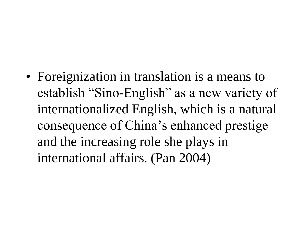• Foreignization in translation is a means to establish "Sino-English" as a new variety of internationalized English, which is a natural consequence of China's enhanced prestige and the increasing role she plays in international affairs. (Pan 2004)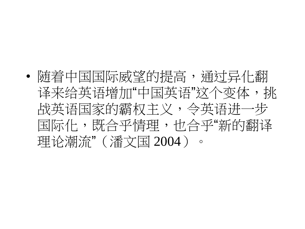• 随着中国国际威望的提高, 通过异化翻 译来给英语增加"中国英语"这个变体,挑 战英语国家的霸权主义,令英语进一步 国际化,既合乎情理,也合乎"新的翻译 理论潮流"(潘文国 2004)。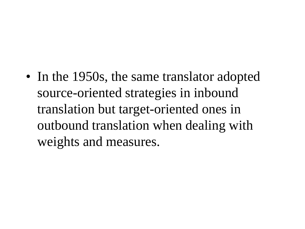• In the 1950s, the same translator adopted source-oriented strategies in inbound translation but target-oriented ones in outbound translation when dealing with weights and measures.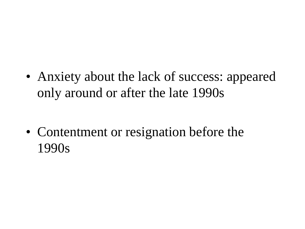• Anxiety about the lack of success: appeared only around or after the late 1990s

• Contentment or resignation before the 1990s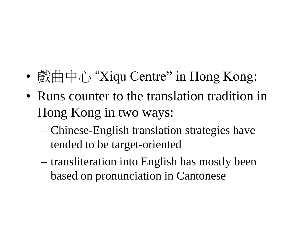- 戲曲中心 "Xiqu Centre" in Hong Kong:
- Runs counter to the translation tradition in Hong Kong in two ways:
	- Chinese-English translation strategies have tended to be target-oriented
	- transliteration into English has mostly been based on pronunciation in Cantonese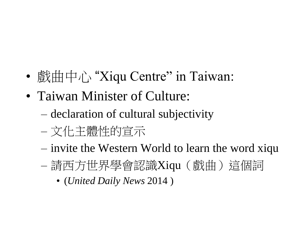- 戲曲中心 "Xiqu Centre" in Taiwan:
- Taiwan Minister of Culture:
	- declaration of cultural subjectivity
	- 文化主體性的宣示
	- invite the Western World to learn the word xiqu
	- 請西方世界學會認識Xiqu (戲曲)這個詞
		- (*United Daily News* 2014 )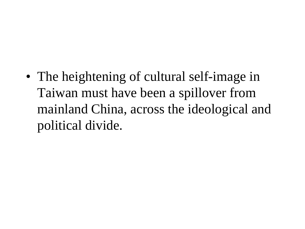• The heightening of cultural self-image in Taiwan must have been a spillover from mainland China, across the ideological and political divide.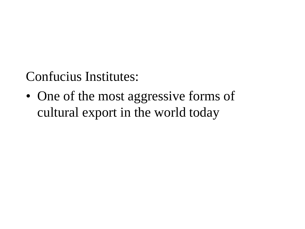Confucius Institutes:

• One of the most aggressive forms of cultural export in the world today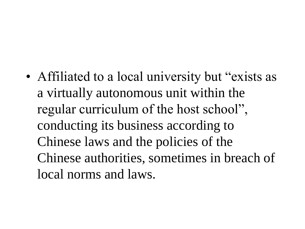• Affiliated to a local university but "exists as a virtually autonomous unit within the regular curriculum of the host school", conducting its business according to Chinese laws and the policies of the Chinese authorities, sometimes in breach of local norms and laws.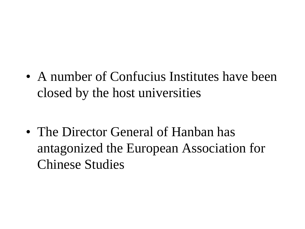• A number of Confucius Institutes have been closed by the host universities

• The Director General of Hanban has antagonized the European Association for Chinese Studies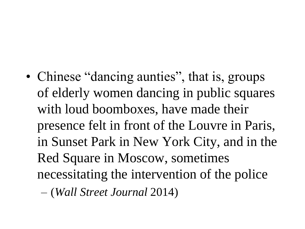• Chinese "dancing aunties", that is, groups of elderly women dancing in public squares with loud boomboxes, have made their presence felt in front of the Louvre in Paris, in Sunset Park in New York City, and in the Red Square in Moscow, sometimes necessitating the intervention of the police

– (*Wall Street Journal* 2014)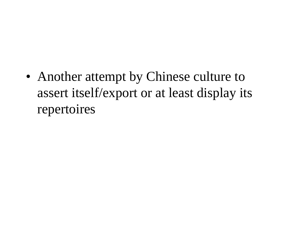• Another attempt by Chinese culture to assert itself/export or at least display its repertoires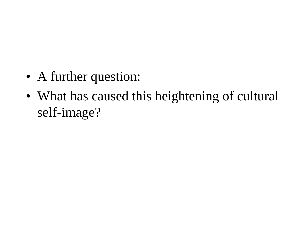- A further question:
- What has caused this heightening of cultural self-image?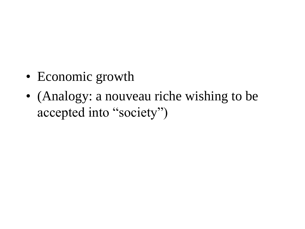- Economic growth
- (Analogy: a nouveau riche wishing to be accepted into "society")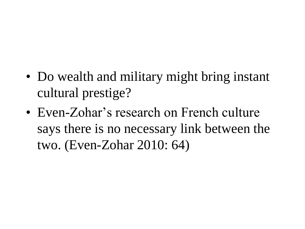- Do wealth and military might bring instant cultural prestige?
- Even-Zohar's research on French culture says there is no necessary link between the two. (Even-Zohar 2010: 64)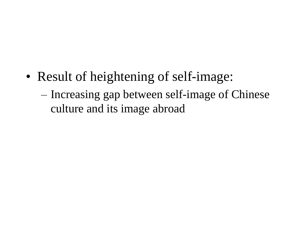- Result of heightening of self-image:
	- Increasing gap between self-image of Chinese culture and its image abroad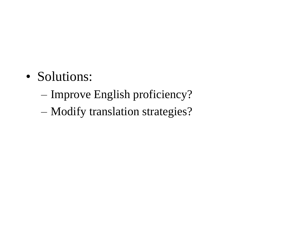- Solutions:
	- Improve English proficiency?
	- Modify translation strategies?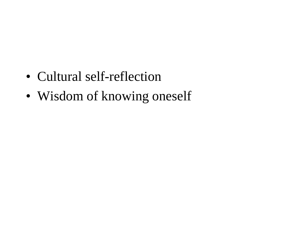- Cultural self-reflection
- Wisdom of knowing oneself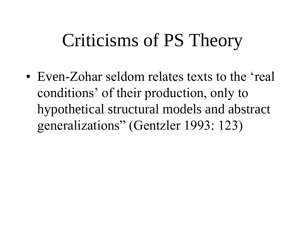# Criticisms of PS Theory

• Even-Zohar seldom relates texts to the 'real conditions' of their production, only to hypothetical structural models and abstract generalizations" (Gentzler 1993: 123)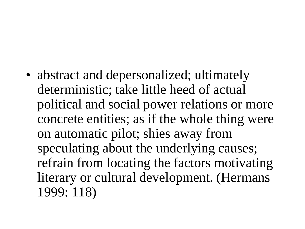• abstract and depersonalized; ultimately deterministic; take little heed of actual political and social power relations or more concrete entities; as if the whole thing were on automatic pilot; shies away from speculating about the underlying causes; refrain from locating the factors motivating literary or cultural development. (Hermans 1999: 118)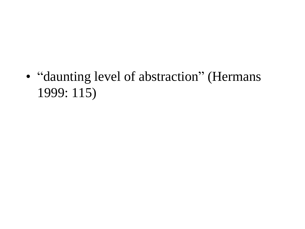• "daunting level of abstraction" (Hermans 1999: 115)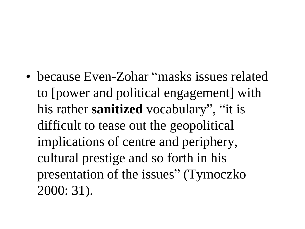• because Even-Zohar "masks issues related to [power and political engagement] with his rather **sanitized** vocabulary", "it is difficult to tease out the geopolitical implications of centre and periphery, cultural prestige and so forth in his presentation of the issues" (Tymoczko 2000: 31).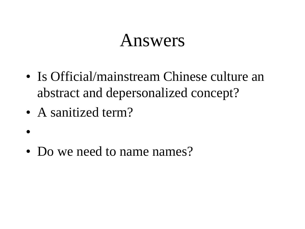### Answers

- Is Official/mainstream Chinese culture an abstract and depersonalized concept?
- A sanitized term?

•

• Do we need to name names?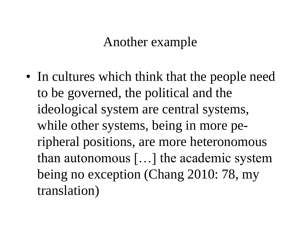#### Another example

• In cultures which think that the people need to be governed, the political and the ideological system are central systems, while other systems, being in more peripheral positions, are more heteronomous than autonomous […] the academic system being no exception (Chang 2010: 78, my translation)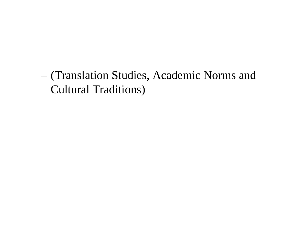– (Translation Studies, Academic Norms and Cultural Traditions)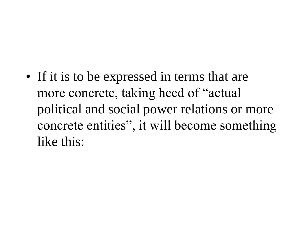• If it is to be expressed in terms that are more concrete, taking heed of "actual political and social power relations or more concrete entities", it will become something like this: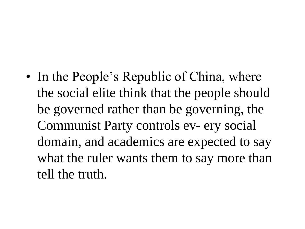• In the People's Republic of China, where the social elite think that the people should be governed rather than be governing, the Communist Party controls ev- ery social domain, and academics are expected to say what the ruler wants them to say more than tell the truth.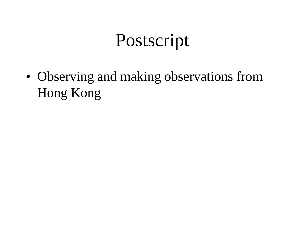## Postscript

• Observing and making observations from Hong Kong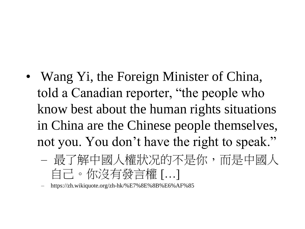- Wang Yi, the Foreign Minister of China, told a Canadian reporter, "the people who know best about the human rights situations in China are the Chinese people themselves, not you. You don't have the right to speak."
	- 最了解中國人權狀况的不是你,而是中國人 自己。你沒有發言權 […]

– https://zh.wikiquote.org/zh-hk/%E7%8E%8B%E6%AF%85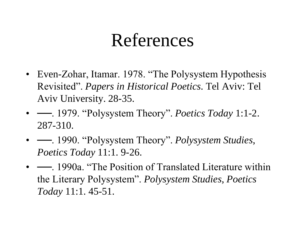## References

- Even-Zohar, Itamar. 1978. "The Polysystem Hypothesis Revisited". *Papers in Historical Poetics*. Tel Aviv: Tel Aviv University. 28-35.
- ──. 1979. "Polysystem Theory". *Poetics Today* 1:1-2. 287-310.
- — 1990. "Polysystem Theory". *Polysystem Studies*, *Poetics Today* 11:1. 9-26.
- —, 1990a. "The Position of Translated Literature within the Literary Polysystem". *Polysystem Studies*, *Poetics Today* 11:1. 45-51.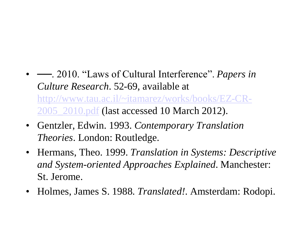- — 2010. "Laws of Cultural Interference". *Papers in Culture Research*. 52-69, available at [http://www.tau.ac.il/~itamarez/works/books/EZ-CR-](http://www.tau.ac.il/~itamarez/works/books/EZ-CR-2005_2010.pdf)[2005\\_2010.pdf](http://www.tau.ac.il/~itamarez/works/books/EZ-CR-2005_2010.pdf) (last accessed 10 March 2012).
- Gentzler, Edwin. 1993. *Contemporary Translation Theories*. London: Routledge.
- Hermans, Theo. 1999. *Translation in Systems: Descriptive and System-oriented Approaches Explained*. Manchester: St. Jerome.
- Holmes, James S. 1988. *Translated!*. Amsterdam: Rodopi.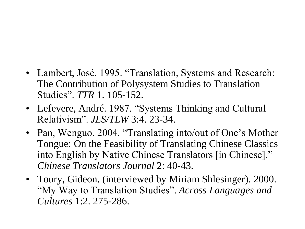- Lambert, José. 1995. "Translation, Systems and Research: The Contribution of Polysystem Studies to Translation Studies". *TTR* 1. 105-152.
- Lefevere, André. 1987. "Systems Thinking and Cultural Relativism". *JLS/TLW* 3:4. 23-34.
- Pan, Wenguo. 2004. "Translating into/out of One's Mother Tongue: On the Feasibility of Translating Chinese Classics into English by Native Chinese Translators [in Chinese]." *Chinese Translators Journal* 2: 40-43.
- Toury, Gideon. (interviewed by Miriam Shlesinger). 2000. "My Way to Translation Studies". *Across Languages and Cultures* 1:2. 275-286.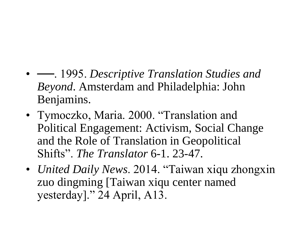- — 1995. *Descriptive Translation Studies and Beyond*. Amsterdam and Philadelphia: John Benjamins.
- Tymoczko, Maria. 2000. "Translation and Political Engagement: Activism, Social Change and the Role of Translation in Geopolitical Shifts". *The Translator* 6-1. 23-47.
- *United Daily News*. 2014. "Taiwan xiqu zhongxin zuo dingming [Taiwan xiqu center named yesterday]." 24 April, A13.